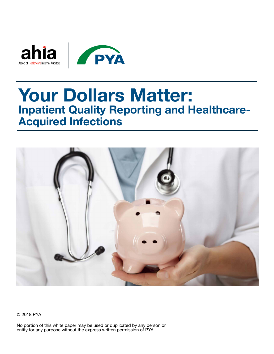



# **Your Dollars Matter: Inpatient Quality Reporting and Healthcare-Acquired Infections**



© 2018 PYA

No portion of this white paper may be used or duplicated by any person or entity for any purpose without the express written permission of PYA.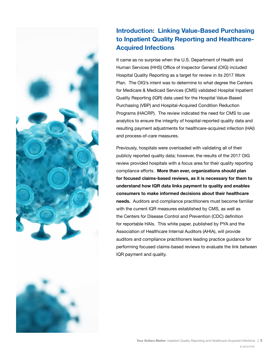



## **Introduction: Linking Value-Based Purchasing to Inpatient Quality Reporting and Healthcare-Acquired Infections**

It came as no surprise when the U.S. Department of Health and Human Services (HHS) Office of Inspector General (OIG) included Hospital Quality Reporting as a target for review in its 2017 Work Plan. The OIG's intent was to determine to what degree the Centers for Medicare & Medicaid Services (CMS) validated Hospital Inpatient Quality Reporting (IQR) data used for the Hospital Value-Based Purchasing (VBP) and Hospital-Acquired Condition Reduction Programs (HACRP). The review indicated the need for CMS to use analytics to ensure the integrity of hospital-reported quality data and resulting payment adjustments for healthcare-acquired infection (HAI) and process-of-care measures.

Previously, hospitals were overloaded with validating all of their publicly reported quality data; however, the results of the 2017 OIG review provided hospitals with a focus area for their quality reporting compliance efforts. **More than ever, organizations should plan for focused claims-based reviews, as it is necessary for them to understand how IQR data links payment to quality and enables consumers to make informed decisions about their healthcare needs.** Auditors and compliance practitioners must become familiar with the current IQR measures established by CMS, as well as the Centers for Disease Control and Prevention (CDC) definition for reportable HAIs. This white paper, published by PYA and the Association of Healthcare Internal Auditors (AHIA), will provide auditors and compliance practitioners leading practice guidance for performing focused claims-based reviews to evaluate the link between IQR payment and quality.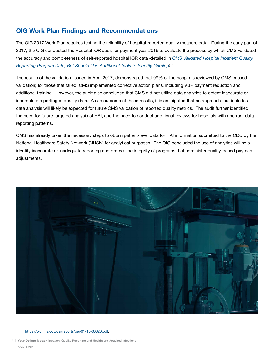## **OIG Work Plan Findings and Recommendations**

The OIG 2017 Work Plan requires testing the reliability of hospital-reported quality measure data. During the early part of 2017, the OIG conducted the Hospital IQR audit for payment year 2016 to evaluate the process by which CMS validated the accuracy and completeness of self-reported hospital IQR data (detailed in *[CMS Validated Hospital Inpatient Quality](https://oig.hhs.gov/oei/reports/oei-01-15-00320.pdf)  [Reporting Program Data, But Should Use Additional Tools to Identify Gaming\)](https://oig.hhs.gov/oei/reports/oei-01-15-00320.pdf).1*

The results of the validation, issued in April 2017, demonstrated that 99% of the hospitals reviewed by CMS passed validation; for those that failed, CMS implemented corrective action plans, including VBP payment reduction and additional training. However, the audit also concluded that CMS did not utilize data analytics to detect inaccurate or incomplete reporting of quality data. As an outcome of these results, it is anticipated that an approach that includes data analysis will likely be expected for future CMS validation of reported quality metrics. The audit further identified the need for future targeted analysis of HAI, and the need to conduct additional reviews for hospitals with aberrant data reporting patterns.

CMS has already taken the necessary steps to obtain patient-level data for HAI information submitted to the CDC by the National Healthcare Safety Network (NHSN) for analytical purposes. The OIG concluded the use of analytics will help identify inaccurate or inadequate reporting and protect the integrity of programs that administer quality-based payment adiustments.



#### [https://oig.hhs.gov/oei/reports/oei-01-15-00320.pdf.](https://oig.hhs.gov/oei/reports/oei-01-15-00320.pdf)

**4 | Your Dollars Matter:** Inpatient Quality Reporting and Healthcare-Acquired Infections © 2018 PYA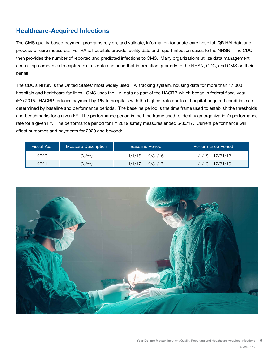## **Healthcare-Acquired Infections**

The CMS quality-based payment programs rely on, and validate, information for acute-care hospital IQR HAI data and process-of-care measures. For HAIs, hospitals provide facility data and report infection cases to the NHSN. The CDC then provides the number of reported and predicted infections to CMS. Many organizations utilize data management consulting companies to capture claims data and send that information quarterly to the NHSN, CDC, and CMS on their behalf.

The CDC's NHSN is the United States' most widely used HAI tracking system, housing data for more than 17,000 hospitals and healthcare facilities. CMS uses the HAI data as part of the HACRP, which began in federal fiscal year (FY) 2015. HACRP reduces payment by 1% to hospitals with the highest rate decile of hospital-acquired conditions as determined by baseline and performance periods. The baseline period is the time frame used to establish the thresholds and benchmarks for a given FY. The performance period is the time frame used to identify an organization's performance rate for a given FY. The performance period for FY 2019 safety measures ended 6/30/17. Current performance will affect outcomes and payments for 2020 and beyond:

| <b>Fiscal Year</b> | <b>Measure Description</b> | <b>Baseline Period</b> | 'Performance Period, |
|--------------------|----------------------------|------------------------|----------------------|
| 2020               | Safetv                     | $1/1/16 - 12/31/16$    | $1/1/18 - 12/31/18$  |
| 2021               | Safetv                     | $1/1/17 - 12/31/17$    | $1/1/19 - 12/31/19$  |

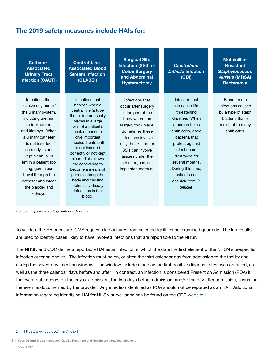## **The 2019 safety measures include HAIs for:**

| <b>Catheter-</b><br><b>Associated</b><br><b>Urinary Tract</b><br><b>Infection (CAUTI)</b>                                                                                                                                                                                                                                    | <b>Central-Line-</b><br><b>Associated Blood</b><br><b>Stream Infection</b><br>(CLABSI)                                                                                                                                                                                                                                                                                  | <b>Surgical Site</b><br><b>Infection (SSI) for</b><br><b>Colon Surgery</b><br>and Abdominal<br><b>Hysterectomy</b>                                                                                                                                         | <b>Clostridium</b><br><b>Difficile Infection</b><br>(CDI)                                                                                                                                                                                                                    | <b>Methicillin-</b><br><b>Resistant</b><br><b>Staphylococcus</b><br><b>Aureus (MRSA)</b><br><b>Bacteremia</b>   |
|------------------------------------------------------------------------------------------------------------------------------------------------------------------------------------------------------------------------------------------------------------------------------------------------------------------------------|-------------------------------------------------------------------------------------------------------------------------------------------------------------------------------------------------------------------------------------------------------------------------------------------------------------------------------------------------------------------------|------------------------------------------------------------------------------------------------------------------------------------------------------------------------------------------------------------------------------------------------------------|------------------------------------------------------------------------------------------------------------------------------------------------------------------------------------------------------------------------------------------------------------------------------|-----------------------------------------------------------------------------------------------------------------|
| Infections that<br>involve any part of<br>the urinary system,<br>including urethra,<br>bladder, ureters,<br>and kidneys. When<br>a urinary catheter<br>is not inserted<br>correctly, is not<br>kept clean, or is<br>left in a patient too<br>long, germs can<br>travel through the<br>catheter and infect<br>the bladder and | Infections that<br>happen when a<br>central line (a tube<br>that a doctor usually<br>places in a large<br>vein of a patient's<br>neck or chest to<br>give important<br>medical treatment)<br>is not inserted<br>correctly or not kept<br>clean. This allows<br>the central line to<br>become a means of<br>germs entering the<br>body and causing<br>potentially deadly | Infections that<br>occur after surgery<br>in the part of the<br>body where the<br>surgery took place.<br>Sometimes these<br>infections involve<br>only the skin; other<br>SSIs can involve<br>tissues under the<br>skin, organs, or<br>implanted material. | Infection that<br>can cause life-<br>threatening<br>diarrhea. When<br>a person takes<br>antibiotics, good<br>bacteria that<br>protect against<br>infection are<br>destroyed for<br>several months.<br>During this time,<br>patients can<br>get sick from C.<br>$difficile$ . | Bloodstream<br>infections caused<br>by a type of staph<br>bacteria that is<br>resistant to many<br>antibiotics. |
| kidneys.                                                                                                                                                                                                                                                                                                                     | infections in the<br>blood.                                                                                                                                                                                                                                                                                                                                             |                                                                                                                                                                                                                                                            |                                                                                                                                                                                                                                                                              |                                                                                                                 |

*Source: <https://www.cdc.gov/nhsn/index.html>*

To validate the HAI measure, CMS requests lab cultures from selected facilities be examined quarterly. The lab results are used to identify cases likely to have involved infections that are reportable to the NHSN.

The NHSN and CDC define a reportable HAI as an infection in which the date the first element of the NHSN site-specific infection criterion occurs. The infection must be on, or after, the third calendar day from admission to the facility and during the seven-day infection window. The window includes the day the first positive diagnostic test was obtained, as well as the three calendar days before and after. In contrast, an infection is considered Present on Admission (POA) if the event date occurs on the day of admission, the two days before admission, and/or the day after admission, assuming the event is documented by the provider. Any infection identified as POA should not be reported as an HAI. Additional information regarding identifying HAI for NHSN surveillance can be found on the CDC <u>website</u>.<sup>2</sup>

<sup>2</sup> https://www.cdc.gov/nhsn/index.html.

**<sup>6 |</sup> Your Dollars Matter:** Inpatient Quality Reporting and Healthcare-Acquired Infections © 2018 PYA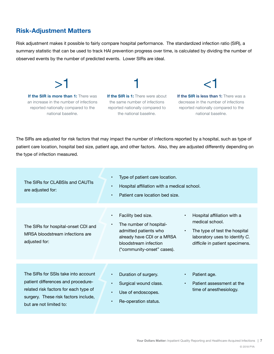## **Risk-Adjustment Matters**

Risk adjustment makes it possible to fairly compare hospital performance. The standardized infection ratio (SIR), a summary statistic that can be used to track HAI prevention progress over time, is calculated by dividing the number of observed events by the number of predicted events. Lower SIRs are ideal.

**If the SIR is more than 1:** There was an increase in the number of infections reported nationally compared to the national baseline.

 $>1$ 

**If the SIR is 1:** There were about the same number of infections reported nationally compared to the national baseline.

1

**If the SIR is less than 1:** There was a decrease in the number of infections reported nationally compared to the national baseline.

 $<$  1

The SIRs are adjusted for risk factors that may impact the number of infections reported by a hospital, such as type of patient care location, hospital bed size, patient age, and other factors. Also, they are adjusted differently depending on the type of infection measured.

| The SIRs for CLABSIs and CAUTIs<br>are adjusted for:                                                                                                                                  | Type of patient care location.<br>$\bullet$<br>Hospital affiliation with a medical school.<br>$\bullet$<br>Patient care location bed size.<br>$\bullet$                                                                                                                                                                                                    |
|---------------------------------------------------------------------------------------------------------------------------------------------------------------------------------------|------------------------------------------------------------------------------------------------------------------------------------------------------------------------------------------------------------------------------------------------------------------------------------------------------------------------------------------------------------|
| The SIRs for hospital-onset CDI and<br>MRSA bloodstream infections are<br>adjusted for:                                                                                               | Facility bed size.<br>Hospital affiliation with a<br>$\bullet$<br>medical school.<br>The number of hospital-<br>$\bullet$<br>admitted patients who<br>The type of test the hospital<br>$\bullet$<br>already have CDI or a MRSA<br>laboratory uses to identify C.<br>bloodstream infection<br>difficile in patient specimens.<br>("community-onset" cases). |
| The SIRs for SSIs take into account<br>patient differences and procedure-<br>related risk factors for each type of<br>surgery. These risk factors include,<br>but are not limited to: | Duration of surgery.<br>Patient age.<br>$\bullet$<br>Surgical wound class.<br>Patient assessment at the<br>$\bullet$<br>$\bullet$<br>time of anesthesiology.<br>Use of endoscopes.<br>$\bullet$<br>Re-operation status.<br>$\bullet$                                                                                                                       |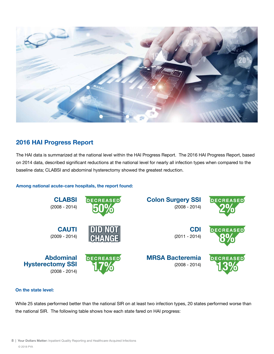

## **2016 HAI Progress Report**

The HAI data is summarized at the national level within the HAI Progress Report. The 2016 HAI Progress Report, based on 2014 data, described significant reductions at the national level for nearly all infection types when compared to the baseline data; CLABSI and abdominal hysterectomy showed the greatest reduction.

### **Among national acute-care hospitals, the report found:**



### **On the state level:**

While 25 states performed better than the national SIR on at least two infection types, 20 states performed worse than the national SIR. The following table shows how each state fared on HAI progress: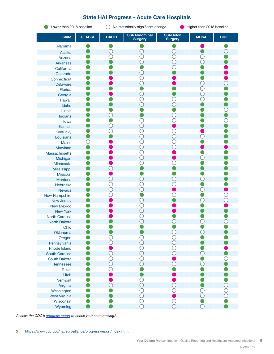### **State HAI Progress - Acute Care Hospitals**

**O** Lower than 2018 baseline  $\bigcirc$  No statistically significant change Higher than 2018 baseline

| <b>State</b>         | <b>CLABSI</b> | <b>CAUTI</b>   | <b>SSI-Abdominal</b><br><b>Surgery</b> | <b>SSI-Colon</b><br><b>Surgery</b> | <b>MRSA</b>    | <b>CDIFF</b> |
|----------------------|---------------|----------------|----------------------------------------|------------------------------------|----------------|--------------|
| Alabama              |               |                |                                        |                                    |                |              |
| Alaska               |               |                |                                        |                                    |                |              |
| Arizona              |               |                |                                        |                                    |                |              |
| <b>Arkansas</b>      |               |                |                                        |                                    | ◯              |              |
| California           |               |                |                                        |                                    |                |              |
| Colorado             |               |                |                                        |                                    |                |              |
| Connecticut          |               |                |                                        |                                    |                |              |
| Delaware             |               |                |                                        |                                    |                |              |
| Florida              |               |                |                                        |                                    |                |              |
| Georgia              |               |                |                                        |                                    |                |              |
| Hawaii               |               |                |                                        |                                    |                |              |
| Idaho                |               |                |                                        |                                    |                |              |
| Illinois             |               |                |                                        |                                    |                |              |
| Indiana              |               |                |                                        |                                    |                |              |
| lowa                 |               |                |                                        |                                    |                |              |
| Kansas               |               | Ο.             |                                        |                                    |                |              |
| Kentucky             |               |                |                                        |                                    |                |              |
| Louisiana            |               |                |                                        | $\bigcirc$                         |                |              |
| Maine                |               |                |                                        | C                                  |                |              |
| Maryland             |               |                |                                        | ◯                                  |                |              |
| Massachusetts        |               |                |                                        |                                    |                |              |
| Michigan             |               |                |                                        |                                    |                |              |
| Minnesota            |               |                |                                        |                                    |                |              |
| Mississippi          |               |                |                                        |                                    |                |              |
| Missouri             |               |                |                                        |                                    |                |              |
| Montana              |               | O              |                                        | O                                  |                |              |
| Nebraska             |               | C              |                                        |                                    |                |              |
| Nevada               |               | $\bigcirc$     |                                        |                                    | $\bigcirc$     |              |
| <b>New Hampshire</b> |               |                |                                        |                                    |                |              |
| New Jersey           |               |                |                                        |                                    |                |              |
| <b>New Mexico</b>    |               |                |                                        |                                    |                |              |
| <b>New York</b>      |               |                |                                        |                                    |                |              |
| North Carolina       |               |                |                                        |                                    |                |              |
| North Dakota         |               |                |                                        |                                    |                |              |
| Ohio                 |               |                |                                        |                                    |                |              |
| Oklahoma             |               |                |                                        |                                    |                |              |
| Oregon               |               | $\bigcirc$     |                                        | $\overline{\mathbb{C}}$            |                |              |
| Pennsylvania         |               | $\overline{O}$ | $\bar{O}$                              | $\bar{O}$                          |                |              |
| <b>Rhode Island</b>  |               |                |                                        | $\overline{\bigcirc}$              |                |              |
| South Carolina       |               | $\bigcirc$     | $\bigcirc$                             | $\bigcirc$                         | $\bigcirc$     |              |
| South Dakota         |               | ◯              |                                        |                                    |                | $\bigcirc$   |
| Tennessee            |               | $\bigcirc$     | $\overline{O}$                         | $\bigcirc$                         | $\bigcirc$     |              |
| <b>Texas</b>         |               | С              |                                        |                                    |                |              |
| Utah                 |               |                |                                        |                                    |                |              |
| Vermont              |               |                | O                                      |                                    |                |              |
| Virginia             |               | $\bigcirc$     | $\overline{O}$                         | $\bigcirc$                         |                |              |
| Washington           |               |                |                                        | $\bigcirc$                         |                | OOO          |
| <b>West Virginia</b> |               |                |                                        |                                    | $\overline{O}$ |              |
| Wisconsin            |               |                |                                        | $\bigcirc$                         |                |              |
| Wyoming              |               |                |                                        | $\overline{O}$                     | $\bigcirc$     |              |

*Access the CDC's [progress report](https://www.cdc.gov/hai/surveillance/progress-report/index.html) to check your state ranking.<sup>3</sup>*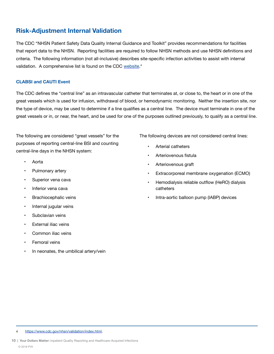## **Risk-Adjustment Internal Validation**

The CDC "NHSN Patient Safety Data Quality Internal Guidance and Toolkit" provides recommendations for facilities that report data to the NHSN. Reporting facilities are required to follow NHSN methods and use NHSN definitions and criteria. The following information (not all-inclusive) describes site-specific infection activities to assist with internal validation. A comprehensive list is found on the CDC <u>[website](https://www.cdc.gov/nhsn/validation/index.html)</u>.<sup>4</sup>

### **CLABSI and CAUTI Event**

The CDC defines the "central line" as an intravascular catheter that terminates at, or close to, the heart or in one of the great vessels which is used for infusion, withdrawal of blood, or hemodynamic monitoring. Neither the insertion site, nor the type of device, may be used to determine if a line qualifies as a central line. The device must terminate in one of the great vessels or in, or near, the heart, and be used for one of the purposes outlined previously, to qualify as a central line.

The following are considered "great vessels" for the purposes of reporting central-line BSI and counting central-line days in the NHSN system:

- Aorta
- Pulmonary artery
- Superior vena cava
- Inferior vena cava
- Brachiocephalic veins
- Internal jugular veins
- Subclavian veins
- **External iliac veins**
- Common iliac veins
- Femoral veins
- In neonates, the umbilical artery/vein

The following devices are not considered central lines:

- Arterial catheters
- Arteriovenous fistula
- Arteriovenous graft
- Extracorporeal membrane oxygenation (ECMO)
- Hemodialysis reliable outflow (HeRO) dialysis catheters
- Intra-aortic balloon pump (IABP) devices

4 <https://www.cdc.gov/nhsn/validation/index.html>.

**10 | Your Dollars Matter:** Inpatient Quality Reporting and Healthcare-Acquired Infections © 2018 PYA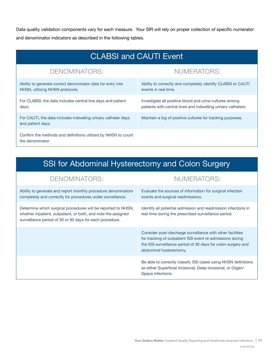Data quality validation components vary for each measure. Your SIR will rely on proper collection of specific numerator and denominator indicators as described in the following tables.

| <b>CLABSI and CAUTI Event</b>                                                                  |                                                                                                                          |  |  |  |
|------------------------------------------------------------------------------------------------|--------------------------------------------------------------------------------------------------------------------------|--|--|--|
| DENOMINATORS:                                                                                  | NUMERATORS:                                                                                                              |  |  |  |
| Ability to generate correct denominator data for entry into<br>NHSN, utilizing NHSN protocols. | Ability to correctly and completely identify CLABSI or CAUTI<br>events in real time.                                     |  |  |  |
| For CLABSI, the data includes central line days and patient<br>days.                           | Investigate all positive blood and urine cultures among<br>patients with central lines and indwelling urinary catheters. |  |  |  |
| For CAUTI, the data includes indwelling urinary catheter days<br>and patient days.             | Maintain a log of positive cultures for tracking purposes.                                                               |  |  |  |
| Confirm the methods and definitions utilized by NHSN to count<br>the denominator.              |                                                                                                                          |  |  |  |

## SSI for Abdominal Hysterectomy and Colon Surgery

| DENOMINATORS:                                                                                                                                                                              | NUMERATORS:                                                                                                                                                                                                        |
|--------------------------------------------------------------------------------------------------------------------------------------------------------------------------------------------|--------------------------------------------------------------------------------------------------------------------------------------------------------------------------------------------------------------------|
| Ability to generate and report monthly procedure denominators<br>completely and correctly for procedures under surveillance.                                                               | Evaluate the sources of information for surgical infection<br>events and surgical readmissions.                                                                                                                    |
| Determine which surgical procedures will be reported to NHSN,<br>whether inpatient, outpatient, or both, and note the assigned<br>surveillance period of 30 or 90 days for each procedure. | Identify all potential admission and readmission infections in<br>real time during the prescribed surveillance period.                                                                                             |
|                                                                                                                                                                                            | Consider post-discharge surveillance with other facilities<br>for tracking of outpatient SSI event re-admissions during<br>the SSI surveillance period of 30 days for colon surgery and<br>abdominal hysterectomy. |
|                                                                                                                                                                                            | Be able to correctly classify SSI cases using NHSN definitions<br>as either Superficial Incisional, Deep Incisional, or Organ/<br>Space infections.                                                                |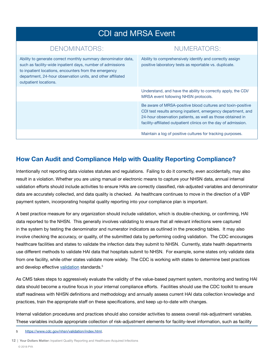## CDI and MRSA Event

## DENOMINATORS: NUMERATORS:

| Ability to generate correct monthly summary denominator data,<br>such as facility-wide inpatient days, number of admissions<br>to inpatient locations, encounters from the emergency<br>department, 24-hour observation units, and other affiliated<br>outpatient locations. | Ability to comprehensively identify and correctly assign<br>positive laboratory tests as reportable vs. duplicate.                                                                                                                                          |
|------------------------------------------------------------------------------------------------------------------------------------------------------------------------------------------------------------------------------------------------------------------------------|-------------------------------------------------------------------------------------------------------------------------------------------------------------------------------------------------------------------------------------------------------------|
|                                                                                                                                                                                                                                                                              | Understand, and have the ability to correctly apply, the CDI/<br>MRSA event following NHSN protocols.                                                                                                                                                       |
|                                                                                                                                                                                                                                                                              | Be aware of MRSA-positive blood cultures and toxin-positive<br>CDI test results among inpatient, emergency department, and<br>24-hour observation patients, as well as those obtained in<br>facility-affiliated outpatient clinics on the day of admission. |
|                                                                                                                                                                                                                                                                              | Maintain a log of positive cultures for tracking purposes.                                                                                                                                                                                                  |

## **How Can Audit and Compliance Help with Quality Reporting Compliance?**

Intentionally not reporting data violates statutes and regulations. Failing to do it correctly, even accidentally, may also result in a violation. Whether you are using manual or electronic means to capture your NHSN data, annual internal validation efforts should include activities to ensure HAIs are correctly classified, risk-adjusted variables and denominator data are accurately collected, and data quality is checked. As healthcare continues to move in the direction of a VBP payment system, incorporating hospital quality reporting into your compliance plan is important.

A best practice measure for any organization should include validation, which is double-checking, or confirming, HAI data reported to the NHSN. This generally involves validating to ensure that all relevant infections were captured in the system by testing the denominator and numerator indicators as outlined in the preceding tables. It may also involve checking the accuracy, or quality, of the submitted data by performing coding validation. The CDC encourages healthcare facilities and states to validate the infection data they submit to NHSN. Currently, state health departments use different methods to validate HAI data that hospitals submit to NHSN. For example, some states only validate data from one facility, while other states validate more widely. The CDC is working with states to determine best practices and develop effective [validation](https://www.cdc.gov/nhsn/validation/index.html) standards.<sup>5</sup>

As CMS takes steps to aggressively evaluate the validity of the value-based payment system, monitoring and testing HAI data should become a routine focus in your internal compliance efforts. Facilities should use the CDC toolkit to ensure staff readiness with NHSN definitions and methodology and annually assess current HAI data collection knowledge and practices, train the appropriate staff on these specifications, and keep up-to-date with changes.

Internal validation procedures and practices should also consider activities to assess overall risk-adjustment variables. These variables include appropriate collection of risk-adjustment elements for facility-level information, such as facility

- 5 <https://www.cdc.gov/nhsn/validation/index.html>.
- **12 | Your Dollars Matter:** Inpatient Quality Reporting and Healthcare-Acquired Infections © 2018 PYA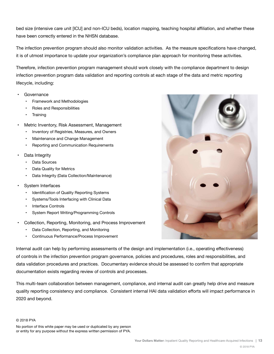bed size (intensive care unit [ICU] and non-ICU beds), location mapping, teaching hospital affiliation, and whether these have been correctly entered in the NHSN database.

The infection prevention program should also monitor validation activities. As the measure specifications have changed, it is of utmost importance to update your organization's compliance plan approach for monitoring these activities.

Therefore, infection prevention program management should work closely with the compliance department to design infection prevention program data validation and reporting controls at each stage of the data and metric reporting lifecycle, including:

- Governance
	- Framework and Methodologies
	- Roles and Responsibilities
	- **Training**
- Metric Inventory, Risk Assessment, Management
	- Inventory of Registries, Measures, and Owners
	- Maintenance and Change Management
	- Reporting and Communication Requirements
- Data Integrity
	- Data Sources
	- Data Quality for Metrics
	- Data Integrity (Data Collection/Maintenance)
- System Interfaces
	- Identification of Quality Reporting Systems
	- Systems/Tools Interfacing with Clinical Data
	- Interface Controls
	- System Report Writing/Programming Controls
- Collection, Reporting, Monitoring, and Process Improvement
	- Data Collection, Reporting, and Monitoring
	- Continuous Performance/Process Improvement



Internal audit can help by performing assessments of the design and implementation (i.e., operating effectiveness) of controls in the infection prevention program governance, policies and procedures, roles and responsibilities, and data validation procedures and practices. Documentary evidence should be assessed to confirm that appropriate documentation exists regarding review of controls and processes.

This multi-team collaboration between management, compliance, and internal audit can greatly help drive and measure quality reporting consistency and compliance. Consistent internal HAI data validation efforts will impact performance in 2020 and beyond.

### © 2018 PYA

No portion of this white paper may be used or duplicated by any person or entity for any purpose without the express written permission of PYA.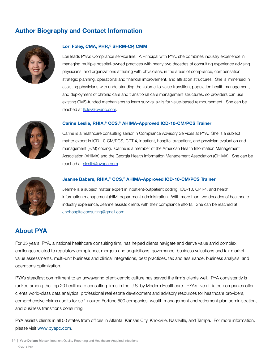## **Author Biography and Contact Information**



### **Lori Foley, CMA, PHR,© SHRM-CP, CMM**

Lori leads PYA's Compliance service line. A Principal with PYA, she combines industry experience in managing multiple hospital-owned practices with nearly two decades of consulting experience advising physicians, and organizations affiliating with physicians, in the areas of compliance, compensation, strategic planning, operational and financial improvement, and affiliation structures. She is immersed in assisting physicians with understanding the volume-to-value transition, population health management, and deployment of chronic care and transitional care management structures, so providers can use existing CMS-funded mechanisms to learn survival skills for value-based reimbursement. She can be reached at [lfoley@pyapc.com.](mailto:lfoley@pyapc.com)



### **Carine Leslie, RHIA,® CCS,® AHIMA-Approved ICD-10-CM/PCS Trainer**

Carine is a healthcare consulting senior in Compliance Advisory Services at PYA. She is a subject matter expert in ICD-10-CM/PCS, CPT-4, inpatient, hospital outpatient, and physician evaluation and management (E/M) coding. Carine is a member of the American Health Information Management Association (AHIMA) and the Georgia Health Information Management Association (GHIMA). She can be reached at [cleslie@pyapc.com.](mailto:cleslie@pyapc.com)



### **Jeanne Babers, RHIA,® CCS,® AHIMA-Approved ICD-10-CM/PCS Trainer**

Jeanne is a subject matter expert in inpatient/outpatient coding, ICD-10, CPT-4, and health information management (HIM) department administration. With more than two decades of healthcare industry experience, Jeanne assists clients with their compliance efforts. She can be reached at [Jnbhospitalconsulting@gmail.com](mailto:Jnbhospitalconsulting%40gmail.com?subject=).

### **About PYA**

For 35 years, PYA, a national healthcare consulting firm, has helped clients navigate and derive value amid complex challenges related to regulatory compliance, mergers and acquisitions, governance, business valuations and fair market value assessments, multi-unit business and clinical integrations, best practices, tax and assurance, business analysis, and operations optimization.

PYA's steadfast commitment to an unwavering client-centric culture has served the firm's clients well. PYA consistently is ranked among the Top 20 healthcare consulting firms in the U.S. by Modern Healthcare. PYA's five affiliated companies offer clients world-class data analytics, professional real estate development and advisory resources for healthcare providers, comprehensive claims audits for self-insured Fortune 500 companies, wealth management and retirement plan administration, and business transitions consulting.

PYA assists clients in all 50 states from offices in Atlanta, Kansas City, Knoxville, Nashville, and Tampa. For more information, please visit [www.pyapc.com](http://www.pyapc.com).